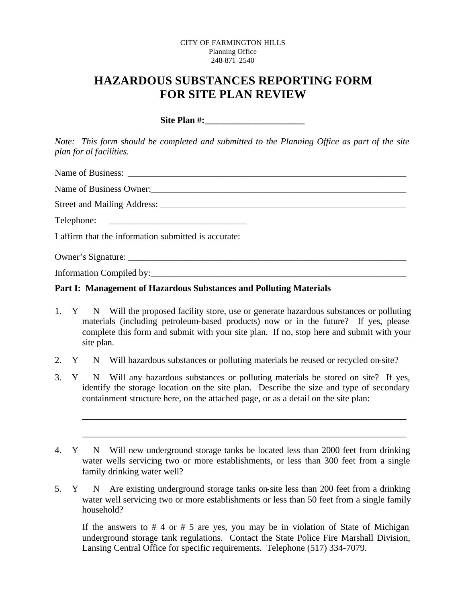#### CITY OF FARMINGTON HILLS Planning Office 248-871-2540

# **HAZARDOUS SUBSTANCES REPORTING FORM FOR SITE PLAN REVIEW**

Site Plan #:

*Note: This form should be completed and submitted to the Planning Office as part of the site plan for al facilities.*

Name of Business:

Name of Business Owner:

Street and Mailing Address: \_\_\_\_\_\_\_\_\_\_\_\_\_\_\_\_\_\_\_\_\_\_\_\_\_\_\_\_\_\_\_\_\_\_\_\_\_\_\_\_\_\_\_\_\_\_\_\_\_\_\_\_\_\_

Telephone:

I affirm that the information submitted is accurate:

Owner's Signature: \_\_\_\_\_\_\_\_\_\_\_\_\_\_\_\_\_\_\_\_\_\_\_\_\_\_\_\_\_\_\_\_\_\_\_\_\_\_\_\_\_\_\_\_\_\_\_\_\_\_\_\_\_\_\_\_\_\_\_\_\_

Information Compiled by:\_\_\_\_\_\_\_\_\_\_\_\_\_\_\_\_\_\_\_\_\_\_\_\_\_\_\_\_\_\_\_\_\_\_\_\_\_\_\_\_\_\_\_\_\_\_\_\_\_\_\_\_\_\_\_\_

### **Part I: Management of Hazardous Substances and Polluting Materials**

- 1. Y N Will the proposed facility store, use or generate hazardous substances or polluting materials (including petroleum-based products) now or in the future? If yes, please complete this form and submit with your site plan. If no, stop here and submit with your site plan.
- 2. Y N Will hazardous substances or polluting materials be reused or recycled on-site?
- 3. Y N Will any hazardous substances or polluting materials be stored on site? If yes, identify the storage location on the site plan. Describe the size and type of secondary containment structure here, on the attached page, or as a detail on the site plan:

\_\_\_\_\_\_\_\_\_\_\_\_\_\_\_\_\_\_\_\_\_\_\_\_\_\_\_\_\_\_\_\_\_\_\_\_\_\_\_\_\_\_\_\_\_\_\_\_\_\_\_\_\_\_\_\_\_\_\_\_\_\_\_\_\_\_\_\_\_\_\_

\_\_\_\_\_\_\_\_\_\_\_\_\_\_\_\_\_\_\_\_\_\_\_\_\_\_\_\_\_\_\_\_\_\_\_\_\_\_\_\_\_\_\_\_\_\_\_\_\_\_\_\_\_\_\_\_\_\_\_\_\_\_\_\_\_\_\_\_\_\_\_

5. Y N Are existing underground storage tanks on-site less than 200 feet from a drinking water well servicing two or more establishments or less than 50 feet from a single family household?

If the answers to  $# 4$  or  $# 5$  are yes, you may be in violation of State of Michigan underground storage tank regulations. Contact the State Police Fire Marshall Division, Lansing Central Office for specific requirements. Telephone (517) 334-7079.

<sup>4.</sup> Y N Will new underground storage tanks be located less than 2000 feet from drinking water wells servicing two or more establishments, or less than 300 feet from a single family drinking water well?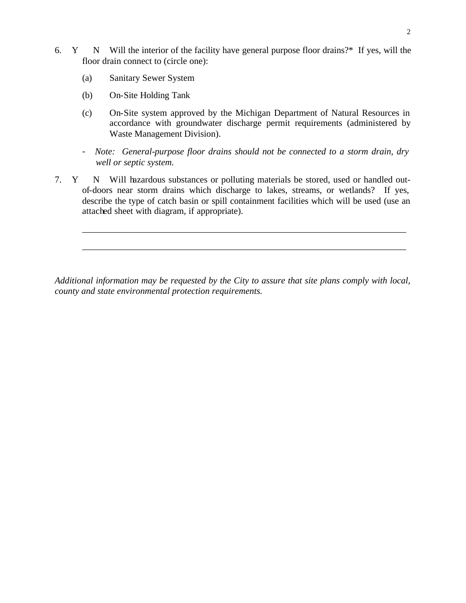- 6. Y N Will the interior of the facility have general purpose floor drains?\* If yes, will the floor drain connect to (circle one):
	- (a) Sanitary Sewer System
	- (b) On-Site Holding Tank
	- (c) On-Site system approved by the Michigan Department of Natural Resources in accordance with groundwater discharge permit requirements (administered by Waste Management Division).
	- *Note: General-purpose floor drains should not be connected to a storm drain, dry well or septic system.*
- 7. Y N Will hazardous substances or polluting materials be stored, used or handled outof-doors near storm drains which discharge to lakes, streams, or wetlands? If yes, describe the type of catch basin or spill containment facilities which will be used (use an attached sheet with diagram, if appropriate).

\_\_\_\_\_\_\_\_\_\_\_\_\_\_\_\_\_\_\_\_\_\_\_\_\_\_\_\_\_\_\_\_\_\_\_\_\_\_\_\_\_\_\_\_\_\_\_\_\_\_\_\_\_\_\_\_\_\_\_\_\_\_\_\_\_\_\_\_\_\_\_

\_\_\_\_\_\_\_\_\_\_\_\_\_\_\_\_\_\_\_\_\_\_\_\_\_\_\_\_\_\_\_\_\_\_\_\_\_\_\_\_\_\_\_\_\_\_\_\_\_\_\_\_\_\_\_\_\_\_\_\_\_\_\_\_\_\_\_\_\_\_\_

*Additional information may be requested by the City to assure that site plans comply with local, county and state environmental protection requirements.*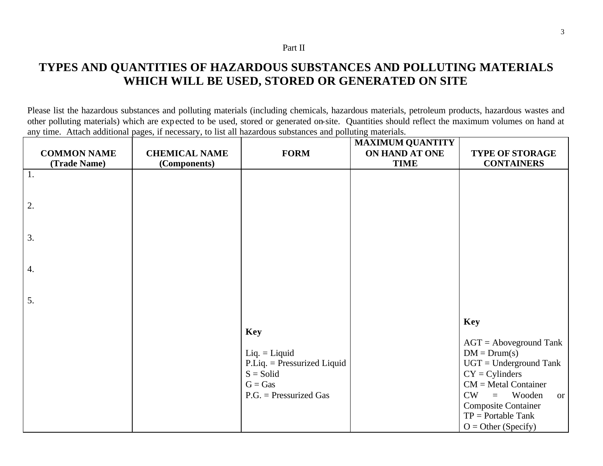#### Part II

# **TYPES AND QUANTITIES OF HAZARDOUS SUBSTANCES AND POLLUTING MATERIALS WHICH WILL BE USED, STORED OR GENERATED ON SITE**

Please list the hazardous substances and polluting materials (including chemicals, hazardous materials, petroleum products, hazardous wastes and other polluting materials) which are expected to be used, stored or generated on-site. Quantities should reflect the maximum volumes on hand at any time. Attach additional pages, if necessary, to list all hazardous substances and polluting materials.

| <b>COMMON NAME</b> | <b>CHEMICAL NAME</b> | <b>FORM</b>                                                                                                            | <b>MAXIMUM QUANTITY</b><br>ON HAND AT ONE | <b>TYPE OF STORAGE</b>                                                                                                                                                                                                                                    |
|--------------------|----------------------|------------------------------------------------------------------------------------------------------------------------|-------------------------------------------|-----------------------------------------------------------------------------------------------------------------------------------------------------------------------------------------------------------------------------------------------------------|
| (Trade Name)       | (Components)         |                                                                                                                        | <b>TIME</b>                               | <b>CONTAINERS</b>                                                                                                                                                                                                                                         |
| 1.                 |                      |                                                                                                                        |                                           |                                                                                                                                                                                                                                                           |
| 2.                 |                      |                                                                                                                        |                                           |                                                                                                                                                                                                                                                           |
| 3.                 |                      |                                                                                                                        |                                           |                                                                                                                                                                                                                                                           |
| $\overline{4}$ .   |                      |                                                                                                                        |                                           |                                                                                                                                                                                                                                                           |
| 5.                 |                      |                                                                                                                        |                                           |                                                                                                                                                                                                                                                           |
|                    |                      | <b>Key</b><br>$Liq. = Liquid$<br>$P.Liq.$ = Pressurized Liquid<br>$S =$ Solid<br>$G = Gas$<br>$P.G.$ = Pressurized Gas |                                           | <b>Key</b><br>$AGT =$ Aboveground Tank<br>$DM = Drum(s)$<br>$UGT =$ Underground Tank<br>$CY = Cylinders$<br>$CM = Metal Container$<br>CW<br>Wooden<br>$\equiv$<br><b>or</b><br><b>Composite Container</b><br>$TP =$ Portable Tank<br>$O = Other(Specify)$ |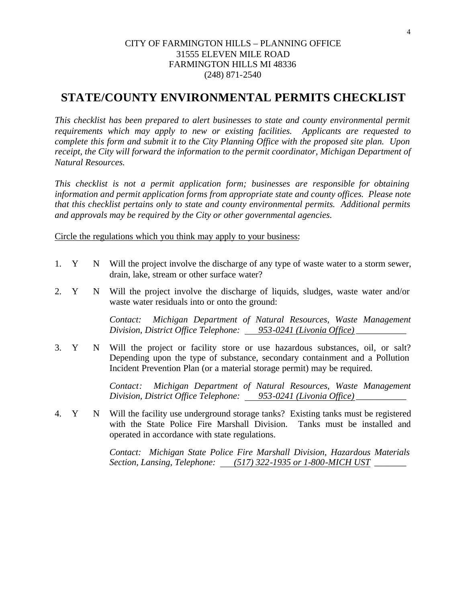### CITY OF FARMINGTON HILLS – PLANNING OFFICE 31555 ELEVEN MILE ROAD FARMINGTON HILLS MI 48336 (248) 871-2540

## **STATE/COUNTY ENVIRONMENTAL PERMITS CHECKLIST**

*This checklist has been prepared to alert businesses to state and county environmental permit requirements which may apply to new or existing facilities. Applicants are requested to complete this form and submit it to the City Planning Office with the proposed site plan. Upon receipt, the City will forward the information to the permit coordinator, Michigan Department of Natural Resources.*

*This checklist is not a permit application form; businesses are responsible for obtaining information and permit application forms from appropriate state and county offices. Please note that this checklist pertains only to state and county environmental permits. Additional permits and approvals may be required by the City or other governmental agencies.*

Circle the regulations which you think may apply to your business:

- 1. Y N Will the project involve the discharge of any type of waste water to a storm sewer, drain, lake, stream or other surface water?
- 2. Y N Will the project involve the discharge of liquids, sludges, waste water and/or waste water residuals into or onto the ground:

*Contact: Michigan Department of Natural Resources, Waste Management Division, District Office Telephone: 953-0241 (Livonia Office) \_\_\_\_\_\_\_\_\_\_\_*

3. Y N Will the project or facility store or use hazardous substances, oil, or salt? Depending upon the type of substance, secondary containment and a Pollution Incident Prevention Plan (or a material storage permit) may be required.

> *Contact: Michigan Department of Natural Resources, Waste Management Division, District Office Telephone: 953-0241 (Livonia Office) \_\_\_\_\_\_\_\_\_\_\_*

4. Y N Will the facility use underground storage tanks? Existing tanks must be registered with the State Police Fire Marshall Division. Tanks must be installed and operated in accordance with state regulations.

> *Contact: Michigan State Police Fire Marshall Division, Hazardous Materials Section, Lansing, Telephone: (517) 322-1935 or 1-800-MICH UST* \_\_\_\_\_\_\_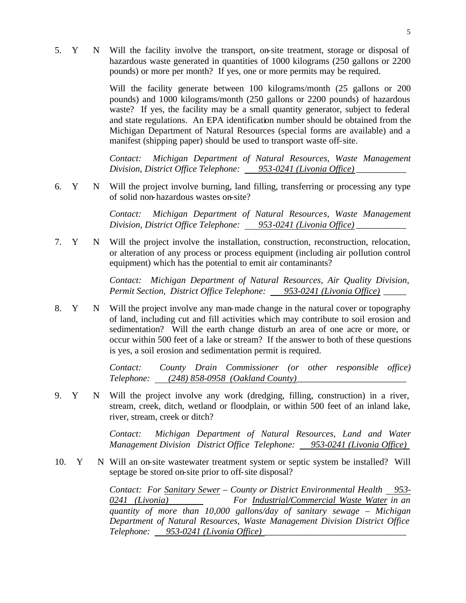5. Y N Will the facility involve the transport, on-site treatment, storage or disposal of hazardous waste generated in quantities of 1000 kilograms (250 gallons or 2200 pounds) or more per month? If yes, one or more permits may be required.

> Will the facility generate between 100 kilograms/month (25 gallons or 200 pounds) and 1000 kilograms/month (250 gallons or 2200 pounds) of hazardous waste? If yes, the facility may be a small quantity generator, subject to federal and state regulations. An EPA identification number should be obtained from the Michigan Department of Natural Resources (special forms are available) and a manifest (shipping paper) should be used to transport waste off-site.

> *Contact: Michigan Department of Natural Resources, Waste Management Division, District Office Telephone:* 953-0241 (Livonia Office)

6. Y N Will the project involve burning, land filling, transferring or processing any type of solid non-hazardous wastes on-site?

> *Contact: Michigan Department of Natural Resources, Waste Management Division, District Office Telephone: 953-0241 (Livonia Office) \_\_\_\_\_\_\_\_\_\_\_*

7. Y N Will the project involve the installation, construction, reconstruction, relocation, or alteration of any process or process equipment (including air pollution control equipment) which has the potential to emit air contaminants?

> *Contact: Michigan Department of Natural Resources, Air Quality Division, Permit Section, District Office Telephone: 953-0241 (Livonia Office) \_\_\_\_\_*

8. Y N Will the project involve any man-made change in the natural cover or topography of land, including cut and fill activities which may contribute to soil erosion and sedimentation? Will the earth change disturb an area of one acre or more, or occur within 500 feet of a lake or stream? If the answer to both of these questions is yes, a soil erosion and sedimentation permit is required.

> *Contact: County Drain Commissioner (or other responsible office) Telephone: (248) 858-0958 (Oakland County)\_\_\_\_\_\_\_\_\_\_\_\_\_\_\_\_\_\_\_\_\_\_\_\_*

9. Y N Will the project involve any work (dredging, filling, construction) in a river, stream, creek, ditch, wetland or floodplain, or within 500 feet of an inland lake, river, stream, creek or ditch?

> *Contact: Michigan Department of Natural Resources, Land and Water Management Division District Office Telephone: 953-0241 (Livonia Office)*

10. Y N Will an on-site wastewater treatment system or septic system be installed? Will septage be stored on-site prior to off-site disposal?

> *Contact: For Sanitary Sewer – County or District Environmental Health 953- 0241 (Livonia) For Industrial/Commercial Waste Water in an quantity of more than 10,000 gallons/day of sanitary sewage – Michigan Department of Natural Resources, Waste Management Division District Office Telephone: 953-0241 (Livonia Office) \_\_\_\_\_\_\_\_\_\_\_\_\_\_\_\_\_\_\_\_\_\_\_\_\_\_\_\_\_\_\_*